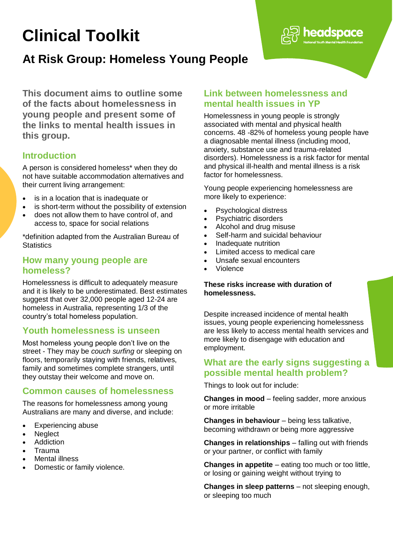# **Clinical Toolkit**

## **At Risk Group: Homeless Young People**

**This document aims to outline some of the facts about homelessness in young people and present some of the links to mental health issues in this group.**

## **Introduction**

A person is considered homeless\* when they do not have suitable accommodation alternatives and their current living arrangement:

- is in a location that is inadequate or
- is short-term without the possibility of extension
- does not allow them to have control of, and access to, space for social relations

\*definition adapted from the Australian Bureau of **Statistics** 

## **How many young people are homeless?**

Homelessness is difficult to adequately measure and it is likely to be underestimated. Best estimates suggest that over 32,000 people aged 12-24 are homeless in Australia, representing 1/3 of the country's total homeless population.

## **Youth homelessness is unseen**

Most homeless young people don't live on the street - They may be *couch surfing* or sleeping on floors, temporarily staying with friends, relatives, family and sometimes complete strangers, until they outstay their welcome and move on.

## **Common causes of homelessness**

The reasons for homelessness among young Australians are many and diverse, and include:

- Experiencing abuse
- Neglect
- **Addiction**
- Trauma
- Mental illness
- Domestic or family violence.

## **Link between homelessness and mental health issues in YP**

Homelessness in young people is strongly associated with mental and physical health concerns. 48 -82% of homeless young people have a diagnosable mental illness (including mood, anxiety, substance use and trauma-related disorders). Homelessness is a risk factor for mental and physical ill-health and mental illness is a risk factor for homelessness.

**neadspace** 

Young people experiencing homelessness are more likely to experience:

- Psychological distress
- Psychiatric disorders
- Alcohol and drug misuse
- Self-harm and suicidal behaviour
- Inadequate nutrition
- $\bullet$  Limited access to medical care
- Unsafe sexual encounters
- Violence

#### **These risks increase with duration of homelessness.**

Despite increased incidence of mental health issues, young people experiencing homelessness are less likely to access mental health services and more likely to disengage with education and employment.

## **What are the early signs suggesting a possible mental health problem?**

Things to look out for include:

**Changes in mood** – feeling sadder, more anxious or more irritable

**Changes in behaviour** – being less talkative, becoming withdrawn or being more aggressive

**Changes in relationships** – falling out with friends or your partner, or conflict with family

**Changes in appetite** – eating too much or too little, or losing or gaining weight without trying to

**Changes in sleep patterns** – not sleeping enough, or sleeping too much